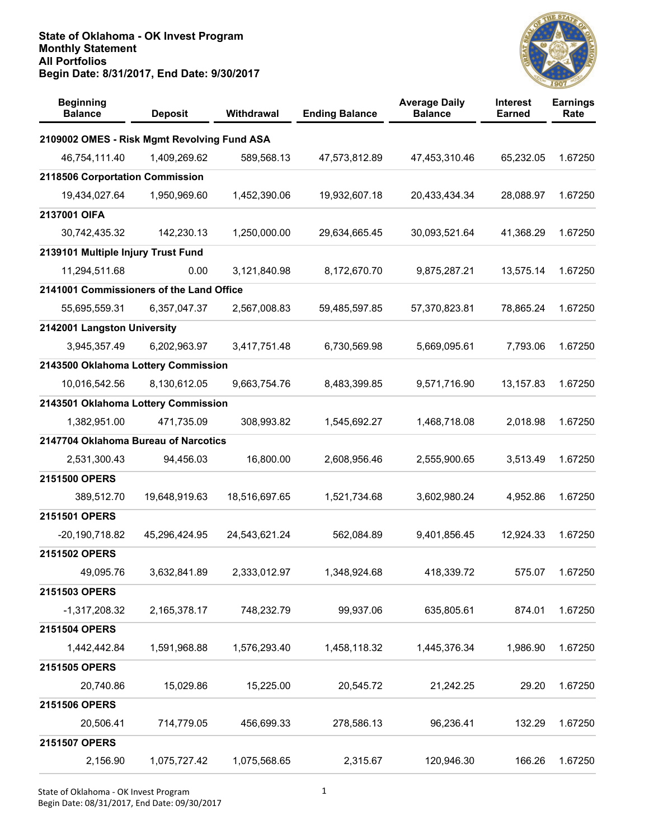

| <b>Beginning</b><br><b>Balance</b>          | <b>Deposit</b> | Withdrawal    | <b>Ending Balance</b> | <b>Average Daily</b><br><b>Balance</b> | <b>Interest</b><br><b>Earned</b> | <b>Earnings</b><br>Rate |
|---------------------------------------------|----------------|---------------|-----------------------|----------------------------------------|----------------------------------|-------------------------|
| 2109002 OMES - Risk Mgmt Revolving Fund ASA |                |               |                       |                                        |                                  |                         |
| 46,754,111.40                               | 1,409,269.62   | 589,568.13    | 47,573,812.89         | 47,453,310.46                          | 65,232.05                        | 1.67250                 |
| 2118506 Corportation Commission             |                |               |                       |                                        |                                  |                         |
| 19,434,027.64                               | 1,950,969.60   | 1,452,390.06  | 19,932,607.18         | 20,433,434.34                          | 28,088.97                        | 1.67250                 |
| 2137001 OIFA                                |                |               |                       |                                        |                                  |                         |
| 30,742,435.32                               | 142,230.13     | 1,250,000.00  | 29,634,665.45         | 30,093,521.64                          | 41,368.29                        | 1.67250                 |
| 2139101 Multiple Injury Trust Fund          |                |               |                       |                                        |                                  |                         |
| 11,294,511.68                               | 0.00           | 3,121,840.98  | 8,172,670.70          | 9,875,287.21                           | 13,575.14                        | 1.67250                 |
| 2141001 Commissioners of the Land Office    |                |               |                       |                                        |                                  |                         |
| 55,695,559.31                               | 6,357,047.37   | 2,567,008.83  | 59,485,597.85         | 57,370,823.81                          | 78,865.24                        | 1.67250                 |
| 2142001 Langston University                 |                |               |                       |                                        |                                  |                         |
| 3,945,357.49                                | 6,202,963.97   | 3,417,751.48  | 6,730,569.98          | 5,669,095.61                           | 7,793.06                         | 1.67250                 |
| 2143500 Oklahoma Lottery Commission         |                |               |                       |                                        |                                  |                         |
| 10,016,542.56                               | 8,130,612.05   | 9,663,754.76  | 8,483,399.85          | 9,571,716.90                           | 13,157.83                        | 1.67250                 |
| 2143501 Oklahoma Lottery Commission         |                |               |                       |                                        |                                  |                         |
| 1,382,951.00                                | 471,735.09     | 308,993.82    | 1,545,692.27          | 1,468,718.08                           | 2,018.98                         | 1.67250                 |
| 2147704 Oklahoma Bureau of Narcotics        |                |               |                       |                                        |                                  |                         |
| 2,531,300.43                                | 94,456.03      | 16,800.00     | 2,608,956.46          | 2,555,900.65                           | 3,513.49                         | 1.67250                 |
| 2151500 OPERS                               |                |               |                       |                                        |                                  |                         |
| 389,512.70                                  | 19,648,919.63  | 18,516,697.65 | 1,521,734.68          | 3,602,980.24                           | 4,952.86                         | 1.67250                 |
| 2151501 OPERS                               |                |               |                       |                                        |                                  |                         |
| -20,190,718.82                              | 45,296,424.95  | 24,543,621.24 | 562,084.89            | 9,401,856.45                           | 12,924.33                        | 1.67250                 |
| 2151502 OPERS                               |                |               |                       |                                        |                                  |                         |
| 49,095.76                                   | 3,632,841.89   | 2,333,012.97  | 1,348,924.68          | 418,339.72                             | 575.07                           | 1.67250                 |
| 2151503 OPERS                               |                |               |                       |                                        |                                  |                         |
| $-1,317,208.32$                             | 2,165,378.17   | 748,232.79    | 99,937.06             | 635,805.61                             | 874.01                           | 1.67250                 |
| 2151504 OPERS                               |                |               |                       |                                        |                                  |                         |
| 1,442,442.84                                | 1,591,968.88   | 1,576,293.40  | 1,458,118.32          | 1,445,376.34                           | 1,986.90                         | 1.67250                 |
| 2151505 OPERS                               |                |               |                       |                                        |                                  |                         |
| 20,740.86                                   | 15,029.86      | 15,225.00     | 20,545.72             | 21,242.25                              | 29.20                            | 1.67250                 |
| 2151506 OPERS                               |                |               |                       |                                        |                                  |                         |
| 20,506.41                                   | 714,779.05     | 456,699.33    | 278,586.13            | 96,236.41                              | 132.29                           | 1.67250                 |
| 2151507 OPERS                               |                |               |                       |                                        |                                  |                         |
| 2,156.90                                    | 1,075,727.42   | 1,075,568.65  | 2,315.67              | 120,946.30                             | 166.26                           | 1.67250                 |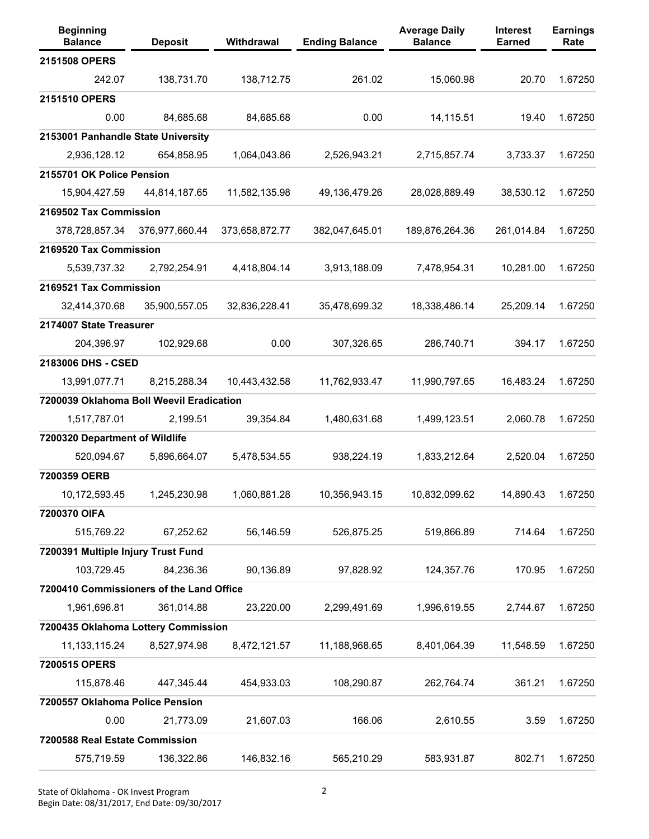| <b>Beginning</b><br><b>Balance</b>       | <b>Deposit</b> | Withdrawal     | <b>Ending Balance</b> | <b>Average Daily</b><br><b>Balance</b> | <b>Interest</b><br><b>Earned</b> | <b>Earnings</b><br>Rate |
|------------------------------------------|----------------|----------------|-----------------------|----------------------------------------|----------------------------------|-------------------------|
| 2151508 OPERS                            |                |                |                       |                                        |                                  |                         |
| 242.07                                   | 138,731.70     | 138,712.75     | 261.02                | 15,060.98                              | 20.70                            | 1.67250                 |
| 2151510 OPERS                            |                |                |                       |                                        |                                  |                         |
| 0.00                                     | 84,685.68      | 84,685.68      | 0.00                  | 14,115.51                              | 19.40                            | 1.67250                 |
| 2153001 Panhandle State University       |                |                |                       |                                        |                                  |                         |
| 2,936,128.12                             | 654,858.95     | 1,064,043.86   | 2,526,943.21          | 2,715,857.74                           | 3,733.37                         | 1.67250                 |
| 2155701 OK Police Pension                |                |                |                       |                                        |                                  |                         |
| 15,904,427.59                            | 44,814,187.65  | 11,582,135.98  | 49,136,479.26         | 28,028,889.49                          | 38,530.12                        | 1.67250                 |
| 2169502 Tax Commission                   |                |                |                       |                                        |                                  |                         |
| 378,728,857.34                           | 376,977,660.44 | 373,658,872.77 | 382,047,645.01        | 189,876,264.36                         | 261,014.84                       | 1.67250                 |
| 2169520 Tax Commission                   |                |                |                       |                                        |                                  |                         |
| 5,539,737.32                             | 2,792,254.91   | 4,418,804.14   | 3,913,188.09          | 7,478,954.31                           | 10,281.00                        | 1.67250                 |
| 2169521 Tax Commission                   |                |                |                       |                                        |                                  |                         |
| 32,414,370.68                            | 35,900,557.05  | 32,836,228.41  | 35,478,699.32         | 18,338,486.14                          | 25,209.14                        | 1.67250                 |
| 2174007 State Treasurer                  |                |                |                       |                                        |                                  |                         |
| 204,396.97                               | 102,929.68     | 0.00           | 307,326.65            | 286,740.71                             | 394.17                           | 1.67250                 |
| 2183006 DHS - CSED                       |                |                |                       |                                        |                                  |                         |
| 13,991,077.71                            | 8,215,288.34   | 10,443,432.58  | 11,762,933.47         | 11,990,797.65                          | 16,483.24                        | 1.67250                 |
| 7200039 Oklahoma Boll Weevil Eradication |                |                |                       |                                        |                                  |                         |
| 1,517,787.01                             | 2,199.51       | 39,354.84      | 1,480,631.68          | 1,499,123.51                           | 2,060.78                         | 1.67250                 |
| 7200320 Department of Wildlife           |                |                |                       |                                        |                                  |                         |
| 520,094.67                               | 5,896,664.07   | 5,478,534.55   | 938,224.19            | 1,833,212.64                           | 2,520.04                         | 1.67250                 |
| 7200359 OERB                             |                |                |                       |                                        |                                  |                         |
| 10,172,593.45                            | 1,245,230.98   | 1,060,881.28   | 10,356,943.15         | 10,832,099.62                          | 14,890.43                        | 1.67250                 |
| 7200370 OIFA                             |                |                |                       |                                        |                                  |                         |
| 515,769.22                               | 67,252.62      | 56,146.59      | 526,875.25            | 519,866.89                             | 714.64                           | 1.67250                 |
| 7200391 Multiple Injury Trust Fund       |                |                |                       |                                        |                                  |                         |
| 103,729.45                               | 84,236.36      | 90,136.89      | 97,828.92             | 124,357.76                             | 170.95                           | 1.67250                 |
| 7200410 Commissioners of the Land Office |                |                |                       |                                        |                                  |                         |
| 1,961,696.81                             | 361,014.88     | 23,220.00      | 2,299,491.69          | 1,996,619.55                           | 2,744.67                         | 1.67250                 |
| 7200435 Oklahoma Lottery Commission      |                |                |                       |                                        |                                  |                         |
| 11, 133, 115. 24                         | 8,527,974.98   | 8,472,121.57   | 11,188,968.65         | 8,401,064.39                           | 11,548.59                        | 1.67250                 |
| 7200515 OPERS                            |                |                |                       |                                        |                                  |                         |
| 115,878.46                               | 447,345.44     | 454,933.03     | 108,290.87            | 262,764.74                             | 361.21                           | 1.67250                 |
| 7200557 Oklahoma Police Pension          |                |                |                       |                                        |                                  |                         |
| 0.00                                     | 21,773.09      | 21,607.03      | 166.06                | 2,610.55                               | 3.59                             | 1.67250                 |
| 7200588 Real Estate Commission           |                |                |                       |                                        |                                  |                         |
| 575,719.59                               | 136,322.86     | 146,832.16     | 565,210.29            | 583,931.87                             | 802.71                           | 1.67250                 |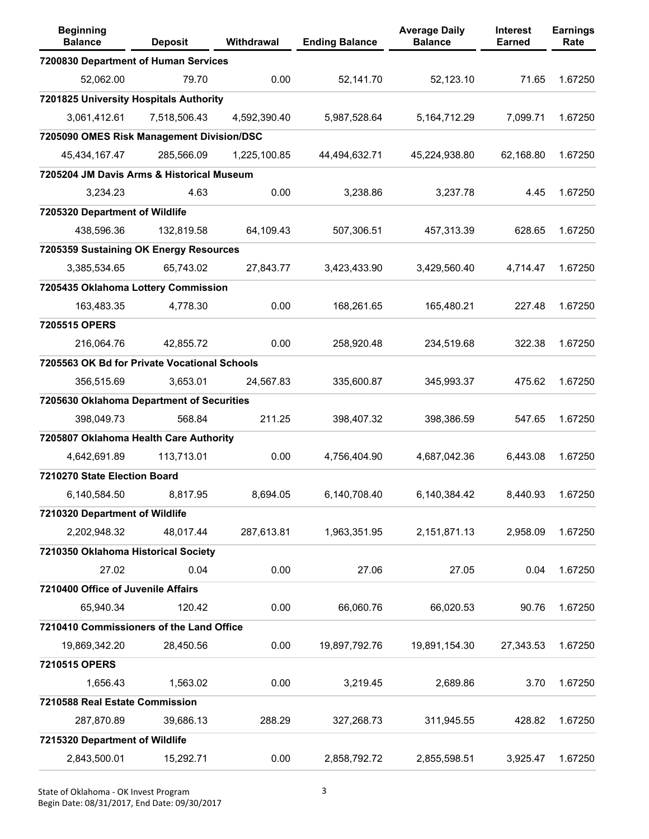| <b>Beginning</b><br><b>Balance</b>           | <b>Deposit</b> | Withdrawal   | <b>Ending Balance</b> | <b>Average Daily</b><br><b>Balance</b> | <b>Interest</b><br><b>Earned</b> | <b>Earnings</b><br>Rate |
|----------------------------------------------|----------------|--------------|-----------------------|----------------------------------------|----------------------------------|-------------------------|
| 7200830 Department of Human Services         |                |              |                       |                                        |                                  |                         |
| 52,062.00                                    | 79.70          | 0.00         | 52,141.70             | 52,123.10                              | 71.65                            | 1.67250                 |
| 7201825 University Hospitals Authority       |                |              |                       |                                        |                                  |                         |
| 3,061,412.61                                 | 7,518,506.43   | 4,592,390.40 | 5,987,528.64          | 5, 164, 712. 29                        | 7,099.71                         | 1.67250                 |
| 7205090 OMES Risk Management Division/DSC    |                |              |                       |                                        |                                  |                         |
| 45,434,167.47                                | 285,566.09     | 1,225,100.85 | 44,494,632.71         | 45,224,938.80                          | 62,168.80                        | 1.67250                 |
| 7205204 JM Davis Arms & Historical Museum    |                |              |                       |                                        |                                  |                         |
| 3,234.23                                     | 4.63           | 0.00         | 3,238.86              | 3,237.78                               | 4.45                             | 1.67250                 |
| 7205320 Department of Wildlife               |                |              |                       |                                        |                                  |                         |
| 438,596.36                                   | 132,819.58     | 64,109.43    | 507,306.51            | 457,313.39                             | 628.65                           | 1.67250                 |
| 7205359 Sustaining OK Energy Resources       |                |              |                       |                                        |                                  |                         |
| 3,385,534.65                                 | 65,743.02      | 27,843.77    | 3,423,433.90          | 3,429,560.40                           | 4,714.47                         | 1.67250                 |
| 7205435 Oklahoma Lottery Commission          |                |              |                       |                                        |                                  |                         |
| 163,483.35                                   | 4,778.30       | 0.00         | 168,261.65            | 165,480.21                             | 227.48                           | 1.67250                 |
| 7205515 OPERS                                |                |              |                       |                                        |                                  |                         |
| 216,064.76                                   | 42,855.72      | 0.00         | 258,920.48            | 234,519.68                             | 322.38                           | 1.67250                 |
| 7205563 OK Bd for Private Vocational Schools |                |              |                       |                                        |                                  |                         |
| 356,515.69                                   | 3,653.01       | 24,567.83    | 335,600.87            | 345,993.37                             | 475.62                           | 1.67250                 |
| 7205630 Oklahoma Department of Securities    |                |              |                       |                                        |                                  |                         |
| 398,049.73                                   | 568.84         | 211.25       | 398,407.32            | 398,386.59                             | 547.65                           | 1.67250                 |
| 7205807 Oklahoma Health Care Authority       |                |              |                       |                                        |                                  |                         |
| 4,642,691.89                                 | 113,713.01     | 0.00         | 4,756,404.90          | 4,687,042.36                           | 6,443.08                         | 1.67250                 |
| 7210270 State Election Board                 |                |              |                       |                                        |                                  |                         |
| 6,140,584.50                                 | 8,817.95       | 8,694.05     | 6,140,708.40          | 6,140,384.42                           | 8,440.93                         | 1.67250                 |
| 7210320 Department of Wildlife               |                |              |                       |                                        |                                  |                         |
| 2,202,948.32                                 | 48,017.44      | 287,613.81   | 1,963,351.95          | 2,151,871.13                           | 2,958.09                         | 1.67250                 |
| 7210350 Oklahoma Historical Society          |                |              |                       |                                        |                                  |                         |
| 27.02                                        | 0.04           | 0.00         | 27.06                 | 27.05                                  | 0.04                             | 1.67250                 |
| 7210400 Office of Juvenile Affairs           |                |              |                       |                                        |                                  |                         |
| 65,940.34                                    | 120.42         | 0.00         | 66,060.76             | 66,020.53                              | 90.76                            | 1.67250                 |
| 7210410 Commissioners of the Land Office     |                |              |                       |                                        |                                  |                         |
| 19,869,342.20                                | 28,450.56      | 0.00         | 19,897,792.76         | 19,891,154.30                          | 27,343.53                        | 1.67250                 |
| 7210515 OPERS                                |                |              |                       |                                        |                                  |                         |
| 1,656.43                                     | 1,563.02       | 0.00         | 3,219.45              | 2,689.86                               | 3.70                             | 1.67250                 |
| 7210588 Real Estate Commission               |                |              |                       |                                        |                                  |                         |
| 287,870.89                                   | 39,686.13      | 288.29       | 327,268.73            | 311,945.55                             | 428.82                           | 1.67250                 |
| 7215320 Department of Wildlife               |                |              |                       |                                        |                                  |                         |
| 2,843,500.01                                 | 15,292.71      | 0.00         | 2,858,792.72          | 2,855,598.51                           | 3,925.47                         | 1.67250                 |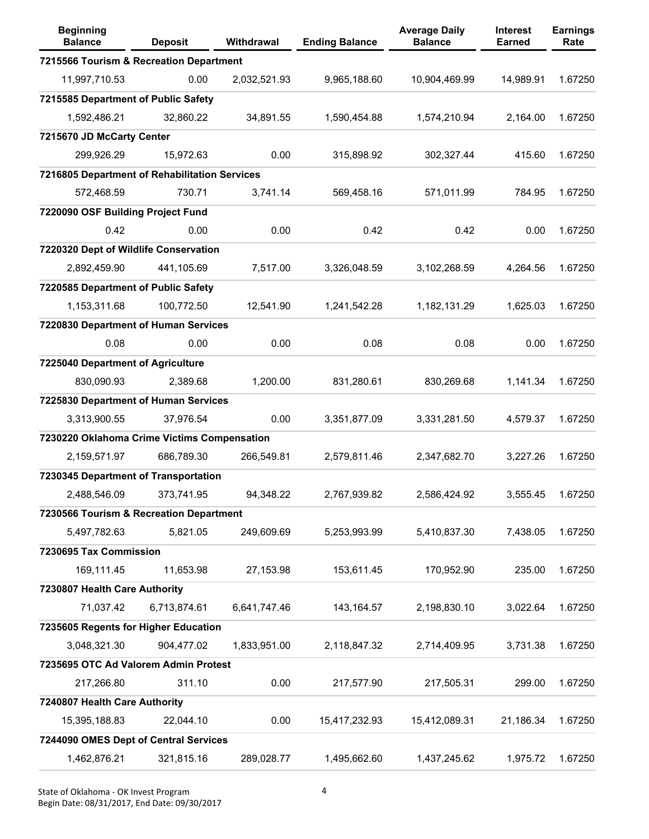| <b>Beginning</b><br><b>Balance</b>            | <b>Deposit</b> | Withdrawal   | <b>Ending Balance</b> | <b>Average Daily</b><br><b>Balance</b> | Interest<br>Earned | <b>Earnings</b><br>Rate |
|-----------------------------------------------|----------------|--------------|-----------------------|----------------------------------------|--------------------|-------------------------|
| 7215566 Tourism & Recreation Department       |                |              |                       |                                        |                    |                         |
| 11,997,710.53                                 | 0.00           | 2,032,521.93 | 9,965,188.60          | 10,904,469.99                          | 14,989.91          | 1.67250                 |
| 7215585 Department of Public Safety           |                |              |                       |                                        |                    |                         |
| 1,592,486.21                                  | 32,860.22      | 34,891.55    | 1,590,454.88          | 1,574,210.94                           | 2,164.00           | 1.67250                 |
| 7215670 JD McCarty Center                     |                |              |                       |                                        |                    |                         |
| 299,926.29                                    | 15,972.63      | 0.00         | 315,898.92            | 302,327.44                             | 415.60             | 1.67250                 |
| 7216805 Department of Rehabilitation Services |                |              |                       |                                        |                    |                         |
| 572,468.59                                    | 730.71         | 3,741.14     | 569,458.16            | 571,011.99                             | 784.95             | 1.67250                 |
| 7220090 OSF Building Project Fund             |                |              |                       |                                        |                    |                         |
| 0.42                                          | 0.00           | 0.00         | 0.42                  | 0.42                                   | 0.00               | 1.67250                 |
| 7220320 Dept of Wildlife Conservation         |                |              |                       |                                        |                    |                         |
| 2,892,459.90                                  | 441,105.69     | 7,517.00     | 3,326,048.59          | 3,102,268.59                           | 4,264.56           | 1.67250                 |
| 7220585 Department of Public Safety           |                |              |                       |                                        |                    |                         |
| 1,153,311.68                                  | 100,772.50     | 12,541.90    | 1,241,542.28          | 1,182,131.29                           | 1,625.03           | 1.67250                 |
| 7220830 Department of Human Services          |                |              |                       |                                        |                    |                         |
| 0.08                                          | 0.00           | 0.00         | 0.08                  | 0.08                                   | 0.00               | 1.67250                 |
| 7225040 Department of Agriculture             |                |              |                       |                                        |                    |                         |
| 830,090.93                                    | 2,389.68       | 1,200.00     | 831,280.61            | 830,269.68                             | 1,141.34           | 1.67250                 |
| 7225830 Department of Human Services          |                |              |                       |                                        |                    |                         |
| 3,313,900.55                                  | 37,976.54      | 0.00         | 3,351,877.09          | 3,331,281.50                           | 4,579.37           | 1.67250                 |
| 7230220 Oklahoma Crime Victims Compensation   |                |              |                       |                                        |                    |                         |
| 2,159,571.97                                  | 686,789.30     | 266,549.81   | 2,579,811.46          | 2,347,682.70                           | 3,227.26           | 1.67250                 |
| 7230345 Department of Transportation          |                |              |                       |                                        |                    |                         |
| 2,488,546.09                                  | 373,741.95     | 94,348.22    | 2,767,939.82          | 2,586,424.92                           | 3,555.45           | 1.67250                 |
| 7230566 Tourism & Recreation Department       |                |              |                       |                                        |                    |                         |
| 5,497,782.63                                  | 5,821.05       | 249,609.69   | 5,253,993.99          | 5,410,837.30                           | 7,438.05           | 1.67250                 |
| 7230695 Tax Commission                        |                |              |                       |                                        |                    |                         |
| 169,111.45                                    | 11,653.98      | 27,153.98    | 153,611.45            | 170,952.90                             | 235.00             | 1.67250                 |
| 7230807 Health Care Authority                 |                |              |                       |                                        |                    |                         |
| 71,037.42                                     | 6,713,874.61   | 6,641,747.46 | 143,164.57            | 2,198,830.10                           | 3,022.64           | 1.67250                 |
| 7235605 Regents for Higher Education          |                |              |                       |                                        |                    |                         |
| 3,048,321.30                                  | 904,477.02     | 1,833,951.00 | 2,118,847.32          | 2,714,409.95                           | 3,731.38           | 1.67250                 |
| 7235695 OTC Ad Valorem Admin Protest          |                |              |                       |                                        |                    |                         |
| 217,266.80                                    | 311.10         | 0.00         | 217,577.90            | 217,505.31                             | 299.00             | 1.67250                 |
| 7240807 Health Care Authority                 |                |              |                       |                                        |                    |                         |
| 15,395,188.83                                 | 22,044.10      | 0.00         | 15,417,232.93         | 15,412,089.31                          | 21,186.34          | 1.67250                 |
| 7244090 OMES Dept of Central Services         |                |              |                       |                                        |                    |                         |
| 1,462,876.21                                  | 321,815.16     | 289,028.77   | 1,495,662.60          | 1,437,245.62                           | 1,975.72           | 1.67250                 |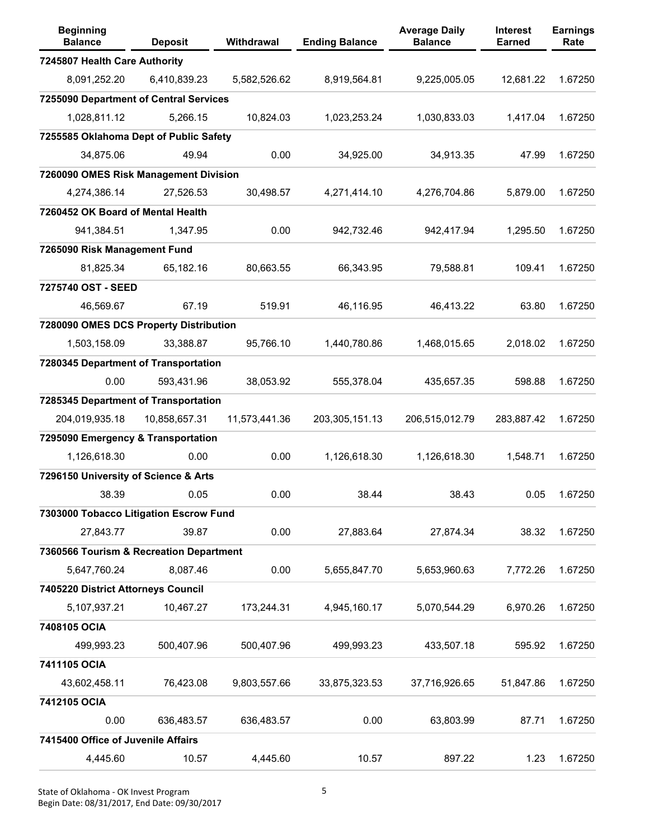| <b>Beginning</b><br><b>Balance</b>      | <b>Deposit</b> | Withdrawal    | <b>Ending Balance</b> | <b>Average Daily</b><br><b>Balance</b> | <b>Interest</b><br>Earned | <b>Earnings</b><br>Rate |
|-----------------------------------------|----------------|---------------|-----------------------|----------------------------------------|---------------------------|-------------------------|
| 7245807 Health Care Authority           |                |               |                       |                                        |                           |                         |
| 8,091,252.20                            | 6,410,839.23   | 5,582,526.62  | 8,919,564.81          | 9,225,005.05                           | 12,681.22                 | 1.67250                 |
| 7255090 Department of Central Services  |                |               |                       |                                        |                           |                         |
| 1,028,811.12                            | 5,266.15       | 10,824.03     | 1,023,253.24          | 1,030,833.03                           | 1,417.04                  | 1.67250                 |
| 7255585 Oklahoma Dept of Public Safety  |                |               |                       |                                        |                           |                         |
| 34,875.06                               | 49.94          | 0.00          | 34,925.00             | 34,913.35                              | 47.99                     | 1.67250                 |
| 7260090 OMES Risk Management Division   |                |               |                       |                                        |                           |                         |
| 4,274,386.14                            | 27,526.53      | 30,498.57     | 4,271,414.10          | 4,276,704.86                           | 5,879.00                  | 1.67250                 |
| 7260452 OK Board of Mental Health       |                |               |                       |                                        |                           |                         |
| 941,384.51                              | 1,347.95       | 0.00          | 942,732.46            | 942,417.94                             | 1,295.50                  | 1.67250                 |
| 7265090 Risk Management Fund            |                |               |                       |                                        |                           |                         |
| 81,825.34                               | 65,182.16      | 80,663.55     | 66,343.95             | 79,588.81                              | 109.41                    | 1.67250                 |
| 7275740 OST - SEED                      |                |               |                       |                                        |                           |                         |
| 46,569.67                               | 67.19          | 519.91        | 46,116.95             | 46,413.22                              | 63.80                     | 1.67250                 |
| 7280090 OMES DCS Property Distribution  |                |               |                       |                                        |                           |                         |
| 1,503,158.09                            | 33,388.87      | 95,766.10     | 1,440,780.86          | 1,468,015.65                           | 2,018.02                  | 1.67250                 |
| 7280345 Department of Transportation    |                |               |                       |                                        |                           |                         |
| 0.00                                    | 593,431.96     | 38,053.92     | 555,378.04            | 435,657.35                             | 598.88                    | 1.67250                 |
| 7285345 Department of Transportation    |                |               |                       |                                        |                           |                         |
| 204,019,935.18                          | 10,858,657.31  | 11,573,441.36 | 203,305,151.13        | 206,515,012.79                         | 283,887.42                | 1.67250                 |
| 7295090 Emergency & Transportation      |                |               |                       |                                        |                           |                         |
| 1,126,618.30                            | 0.00           | 0.00          | 1,126,618.30          | 1,126,618.30                           | 1,548.71                  | 1.67250                 |
| 7296150 University of Science & Arts    |                |               |                       |                                        |                           |                         |
| 38.39                                   | 0.05           | 0.00          | 38.44                 | 38.43                                  | 0.05                      | 1.67250                 |
| 7303000 Tobacco Litigation Escrow Fund  |                |               |                       |                                        |                           |                         |
| 27,843.77                               | 39.87          | 0.00          | 27,883.64             | 27,874.34                              | 38.32                     | 1.67250                 |
| 7360566 Tourism & Recreation Department |                |               |                       |                                        |                           |                         |
| 5,647,760.24                            | 8,087.46       | 0.00          | 5,655,847.70          | 5,653,960.63                           | 7,772.26                  | 1.67250                 |
| 7405220 District Attorneys Council      |                |               |                       |                                        |                           |                         |
| 5,107,937.21                            | 10,467.27      | 173,244.31    | 4,945,160.17          | 5,070,544.29                           | 6,970.26                  | 1.67250                 |
| 7408105 OCIA                            |                |               |                       |                                        |                           |                         |
| 499,993.23                              | 500,407.96     | 500,407.96    | 499,993.23            | 433,507.18                             | 595.92                    | 1.67250                 |
| 7411105 OCIA                            |                |               |                       |                                        |                           |                         |
| 43,602,458.11                           | 76,423.08      | 9,803,557.66  | 33,875,323.53         | 37,716,926.65                          | 51,847.86                 | 1.67250                 |
| 7412105 OCIA                            |                |               |                       |                                        |                           |                         |
| 0.00                                    | 636,483.57     | 636,483.57    | 0.00                  | 63,803.99                              | 87.71                     | 1.67250                 |
| 7415400 Office of Juvenile Affairs      |                |               |                       |                                        |                           |                         |
| 4,445.60                                | 10.57          | 4,445.60      | 10.57                 | 897.22                                 | 1.23                      | 1.67250                 |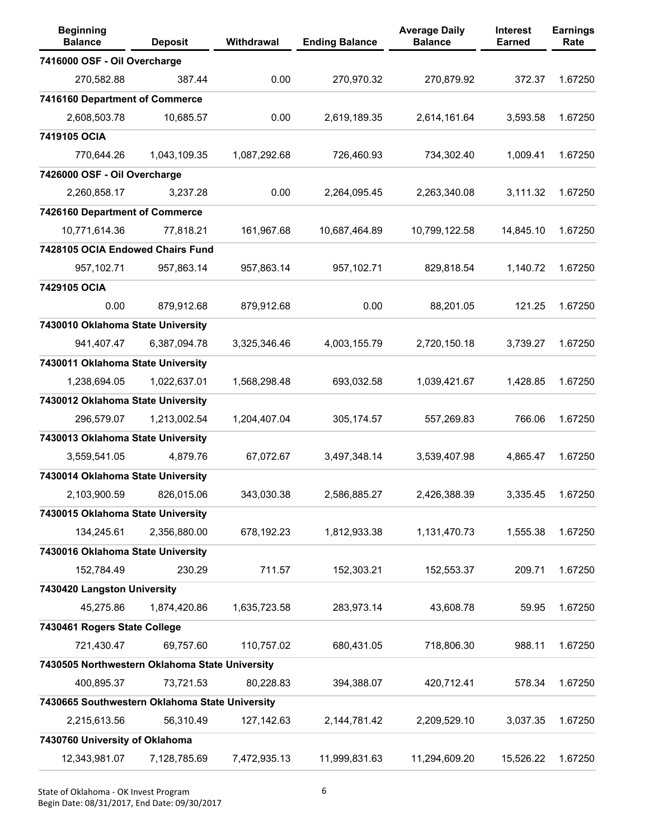| <b>Beginning</b><br><b>Balance</b>             | <b>Deposit</b> | Withdrawal   | <b>Ending Balance</b> | <b>Average Daily</b><br><b>Balance</b> | <b>Interest</b><br><b>Earned</b> | <b>Earnings</b><br>Rate |
|------------------------------------------------|----------------|--------------|-----------------------|----------------------------------------|----------------------------------|-------------------------|
| 7416000 OSF - Oil Overcharge                   |                |              |                       |                                        |                                  |                         |
| 270,582.88                                     | 387.44         | 0.00         | 270,970.32            | 270,879.92                             | 372.37                           | 1.67250                 |
| 7416160 Department of Commerce                 |                |              |                       |                                        |                                  |                         |
| 2,608,503.78                                   | 10,685.57      | 0.00         | 2,619,189.35          | 2,614,161.64                           | 3,593.58                         | 1.67250                 |
| 7419105 OCIA                                   |                |              |                       |                                        |                                  |                         |
| 770,644.26                                     | 1,043,109.35   | 1,087,292.68 | 726,460.93            | 734,302.40                             | 1,009.41                         | 1.67250                 |
| 7426000 OSF - Oil Overcharge                   |                |              |                       |                                        |                                  |                         |
| 2,260,858.17                                   | 3,237.28       | 0.00         | 2,264,095.45          | 2,263,340.08                           | 3,111.32                         | 1.67250                 |
| 7426160 Department of Commerce                 |                |              |                       |                                        |                                  |                         |
| 10,771,614.36                                  | 77,818.21      | 161,967.68   | 10,687,464.89         | 10,799,122.58                          | 14,845.10                        | 1.67250                 |
| 7428105 OCIA Endowed Chairs Fund               |                |              |                       |                                        |                                  |                         |
| 957,102.71                                     | 957,863.14     | 957,863.14   | 957,102.71            | 829,818.54                             | 1,140.72                         | 1.67250                 |
| 7429105 OCIA                                   |                |              |                       |                                        |                                  |                         |
| 0.00                                           | 879,912.68     | 879,912.68   | 0.00                  | 88,201.05                              | 121.25                           | 1.67250                 |
| 7430010 Oklahoma State University              |                |              |                       |                                        |                                  |                         |
| 941,407.47                                     | 6,387,094.78   | 3,325,346.46 | 4,003,155.79          | 2,720,150.18                           | 3,739.27                         | 1.67250                 |
| 7430011 Oklahoma State University              |                |              |                       |                                        |                                  |                         |
| 1,238,694.05                                   | 1,022,637.01   | 1,568,298.48 | 693,032.58            | 1,039,421.67                           | 1,428.85                         | 1.67250                 |
| 7430012 Oklahoma State University              |                |              |                       |                                        |                                  |                         |
| 296,579.07                                     | 1,213,002.54   | 1,204,407.04 | 305, 174.57           | 557,269.83                             | 766.06                           | 1.67250                 |
| 7430013 Oklahoma State University              |                |              |                       |                                        |                                  |                         |
| 3,559,541.05                                   | 4,879.76       | 67,072.67    | 3,497,348.14          | 3,539,407.98                           | 4,865.47                         | 1.67250                 |
| 7430014 Oklahoma State University              |                |              |                       |                                        |                                  |                         |
| 2,103,900.59                                   | 826,015.06     | 343,030.38   | 2,586,885.27          | 2,426,388.39                           | 3,335.45                         | 1.67250                 |
| 7430015 Oklahoma State University              |                |              |                       |                                        |                                  |                         |
| 134,245.61                                     | 2,356,880.00   | 678,192.23   | 1,812,933.38          | 1,131,470.73                           | 1,555.38                         | 1.67250                 |
| 7430016 Oklahoma State University              |                |              |                       |                                        |                                  |                         |
| 152,784.49                                     | 230.29         | 711.57       | 152,303.21            | 152,553.37                             | 209.71                           | 1.67250                 |
| 7430420 Langston University                    |                |              |                       |                                        |                                  |                         |
| 45,275.86                                      | 1,874,420.86   | 1,635,723.58 | 283,973.14            | 43,608.78                              | 59.95                            | 1.67250                 |
| 7430461 Rogers State College                   |                |              |                       |                                        |                                  |                         |
| 721,430.47                                     | 69,757.60      | 110,757.02   | 680,431.05            | 718,806.30                             | 988.11                           | 1.67250                 |
| 7430505 Northwestern Oklahoma State University |                |              |                       |                                        |                                  |                         |
| 400,895.37                                     | 73,721.53      | 80,228.83    | 394,388.07            | 420,712.41                             | 578.34                           | 1.67250                 |
| 7430665 Southwestern Oklahoma State University |                |              |                       |                                        |                                  |                         |
| 2,215,613.56                                   | 56,310.49      | 127,142.63   | 2,144,781.42          | 2,209,529.10                           | 3,037.35                         | 1.67250                 |
| 7430760 University of Oklahoma                 |                |              |                       |                                        |                                  |                         |
| 12,343,981.07                                  | 7,128,785.69   | 7,472,935.13 | 11,999,831.63         | 11,294,609.20                          | 15,526.22                        | 1.67250                 |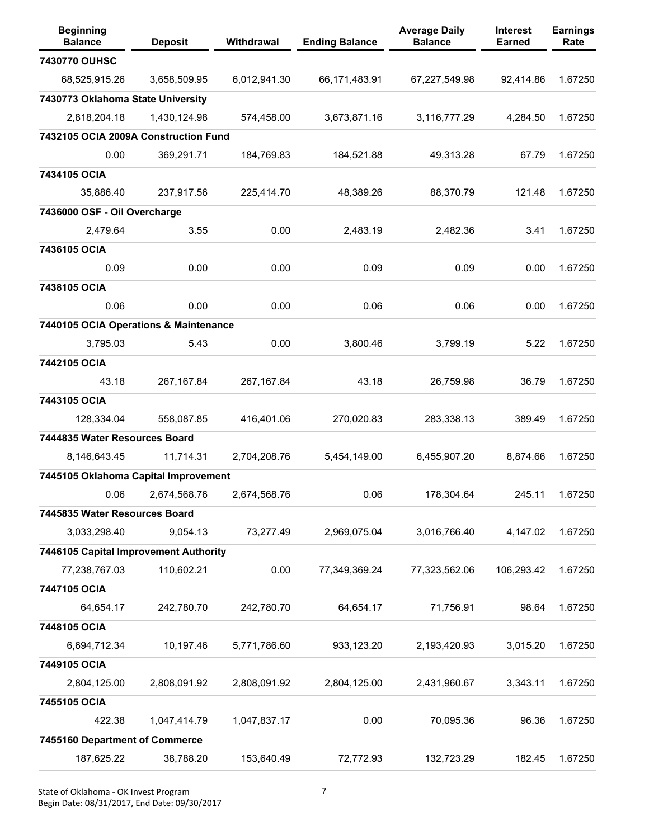| <b>Beginning</b><br><b>Balance</b>    | <b>Deposit</b> | <b>Withdrawal</b> | <b>Ending Balance</b> | <b>Average Daily</b><br><b>Balance</b> | <b>Interest</b><br><b>Earned</b> | <b>Earnings</b><br>Rate |
|---------------------------------------|----------------|-------------------|-----------------------|----------------------------------------|----------------------------------|-------------------------|
| 7430770 OUHSC                         |                |                   |                       |                                        |                                  |                         |
| 68,525,915.26                         | 3,658,509.95   | 6,012,941.30      | 66,171,483.91         | 67,227,549.98                          | 92,414.86                        | 1.67250                 |
| 7430773 Oklahoma State University     |                |                   |                       |                                        |                                  |                         |
| 2,818,204.18                          | 1,430,124.98   | 574,458.00        | 3,673,871.16          | 3,116,777.29                           | 4,284.50                         | 1.67250                 |
| 7432105 OCIA 2009A Construction Fund  |                |                   |                       |                                        |                                  |                         |
| 0.00                                  | 369,291.71     | 184,769.83        | 184,521.88            | 49,313.28                              | 67.79                            | 1.67250                 |
| 7434105 OCIA                          |                |                   |                       |                                        |                                  |                         |
| 35,886.40                             | 237,917.56     | 225,414.70        | 48,389.26             | 88,370.79                              | 121.48                           | 1.67250                 |
| 7436000 OSF - Oil Overcharge          |                |                   |                       |                                        |                                  |                         |
| 2,479.64                              | 3.55           | 0.00              | 2,483.19              | 2,482.36                               | 3.41                             | 1.67250                 |
| 7436105 OCIA                          |                |                   |                       |                                        |                                  |                         |
| 0.09                                  | 0.00           | 0.00              | 0.09                  | 0.09                                   | 0.00                             | 1.67250                 |
| 7438105 OCIA                          |                |                   |                       |                                        |                                  |                         |
| 0.06                                  | 0.00           | 0.00              | 0.06                  | 0.06                                   | 0.00                             | 1.67250                 |
| 7440105 OCIA Operations & Maintenance |                |                   |                       |                                        |                                  |                         |
| 3,795.03                              | 5.43           | 0.00              | 3,800.46              | 3,799.19                               | 5.22                             | 1.67250                 |
| 7442105 OCIA                          |                |                   |                       |                                        |                                  |                         |
| 43.18                                 | 267,167.84     | 267,167.84        | 43.18                 | 26,759.98                              | 36.79                            | 1.67250                 |
| 7443105 OCIA                          |                |                   |                       |                                        |                                  |                         |
| 128,334.04                            | 558,087.85     | 416,401.06        | 270,020.83            | 283,338.13                             | 389.49                           | 1.67250                 |
| 7444835 Water Resources Board         |                |                   |                       |                                        |                                  |                         |
| 8,146,643.45                          | 11,714.31      | 2,704,208.76      | 5,454,149.00          | 6,455,907.20                           | 8,874.66                         | 1.67250                 |
| 7445105 Oklahoma Capital Improvement  |                |                   |                       |                                        |                                  |                         |
| 0.06                                  | 2,674,568.76   | 2,674,568.76      | 0.06                  | 178,304.64                             | 245.11                           | 1.67250                 |
| 7445835 Water Resources Board         |                |                   |                       |                                        |                                  |                         |
| 3,033,298.40                          | 9,054.13       | 73,277.49         | 2,969,075.04          | 3,016,766.40                           | 4,147.02                         | 1.67250                 |
| 7446105 Capital Improvement Authority |                |                   |                       |                                        |                                  |                         |
| 77,238,767.03                         | 110,602.21     | 0.00              | 77,349,369.24         | 77,323,562.06                          | 106,293.42                       | 1.67250                 |
| 7447105 OCIA                          |                |                   |                       |                                        |                                  |                         |
| 64,654.17                             | 242,780.70     | 242,780.70        | 64,654.17             | 71,756.91                              | 98.64                            | 1.67250                 |
| 7448105 OCIA                          |                |                   |                       |                                        |                                  |                         |
| 6,694,712.34                          | 10,197.46      | 5,771,786.60      | 933,123.20            | 2,193,420.93                           | 3,015.20                         | 1.67250                 |
| 7449105 OCIA                          |                |                   |                       |                                        |                                  |                         |
| 2,804,125.00                          | 2,808,091.92   | 2,808,091.92      | 2,804,125.00          | 2,431,960.67                           | 3,343.11                         | 1.67250                 |
| 7455105 OCIA                          |                |                   |                       |                                        |                                  |                         |
| 422.38                                | 1,047,414.79   | 1,047,837.17      | 0.00                  | 70,095.36                              | 96.36                            | 1.67250                 |
| 7455160 Department of Commerce        |                |                   |                       |                                        |                                  |                         |
| 187,625.22                            | 38,788.20      | 153,640.49        | 72,772.93             | 132,723.29                             | 182.45                           | 1.67250                 |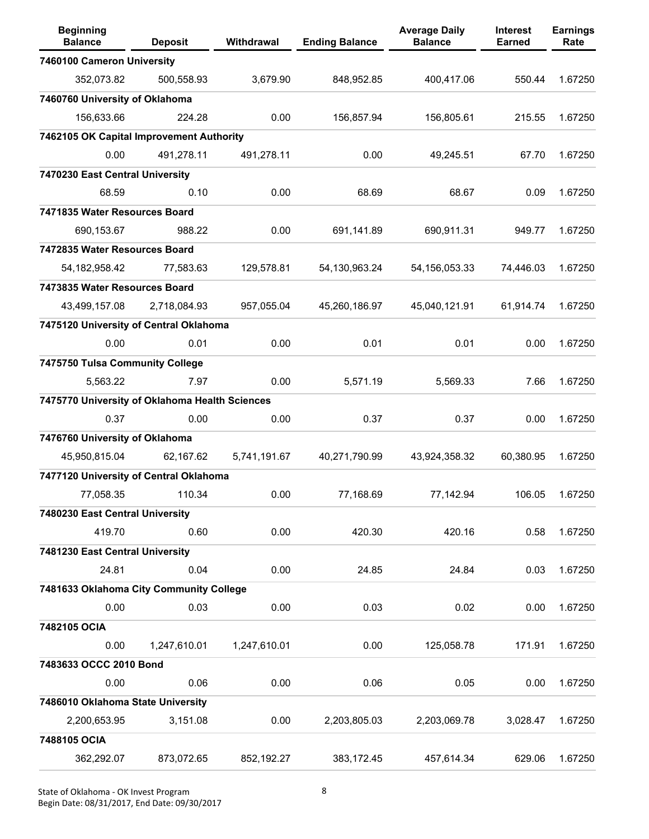| <b>Beginning</b><br><b>Balance</b>             | <b>Deposit</b> | <b>Withdrawal</b> | <b>Ending Balance</b> | <b>Average Daily</b><br><b>Balance</b> | <b>Interest</b><br><b>Earned</b> | <b>Earnings</b><br>Rate |
|------------------------------------------------|----------------|-------------------|-----------------------|----------------------------------------|----------------------------------|-------------------------|
| 7460100 Cameron University                     |                |                   |                       |                                        |                                  |                         |
| 352,073.82                                     | 500,558.93     | 3,679.90          | 848,952.85            | 400,417.06                             | 550.44                           | 1.67250                 |
| 7460760 University of Oklahoma                 |                |                   |                       |                                        |                                  |                         |
| 156,633.66                                     | 224.28         | 0.00              | 156,857.94            | 156,805.61                             | 215.55                           | 1.67250                 |
| 7462105 OK Capital Improvement Authority       |                |                   |                       |                                        |                                  |                         |
| 0.00                                           | 491,278.11     | 491,278.11        | 0.00                  | 49,245.51                              | 67.70                            | 1.67250                 |
| 7470230 East Central University                |                |                   |                       |                                        |                                  |                         |
| 68.59                                          | 0.10           | 0.00              | 68.69                 | 68.67                                  | 0.09                             | 1.67250                 |
| 7471835 Water Resources Board                  |                |                   |                       |                                        |                                  |                         |
| 690,153.67                                     | 988.22         | 0.00              | 691,141.89            | 690,911.31                             | 949.77                           | 1.67250                 |
| 7472835 Water Resources Board                  |                |                   |                       |                                        |                                  |                         |
| 54, 182, 958. 42                               | 77,583.63      | 129,578.81        | 54, 130, 963. 24      | 54, 156, 053. 33                       | 74,446.03                        | 1.67250                 |
| 7473835 Water Resources Board                  |                |                   |                       |                                        |                                  |                         |
| 43,499,157.08                                  | 2,718,084.93   | 957,055.04        | 45,260,186.97         | 45,040,121.91                          | 61,914.74                        | 1.67250                 |
| 7475120 University of Central Oklahoma         |                |                   |                       |                                        |                                  |                         |
| 0.00                                           | 0.01           | 0.00              | 0.01                  | 0.01                                   | 0.00                             | 1.67250                 |
| 7475750 Tulsa Community College                |                |                   |                       |                                        |                                  |                         |
| 5,563.22                                       | 7.97           | 0.00              | 5,571.19              | 5,569.33                               | 7.66                             | 1.67250                 |
| 7475770 University of Oklahoma Health Sciences |                |                   |                       |                                        |                                  |                         |
| 0.37                                           | 0.00           | 0.00              | 0.37                  | 0.37                                   | 0.00                             | 1.67250                 |
| 7476760 University of Oklahoma                 |                |                   |                       |                                        |                                  |                         |
| 45,950,815.04                                  | 62,167.62      | 5,741,191.67      | 40,271,790.99         | 43,924,358.32                          | 60,380.95                        | 1.67250                 |
| 7477120 University of Central Oklahoma         |                |                   |                       |                                        |                                  |                         |
| 77,058.35                                      | 110.34         | 0.00              | 77,168.69             | 77,142.94                              | 106.05                           | 1.67250                 |
| 7480230 East Central University                |                |                   |                       |                                        |                                  |                         |
| 419.70                                         | 0.60           | 0.00              | 420.30                | 420.16                                 | 0.58                             | 1.67250                 |
| 7481230 East Central University                |                |                   |                       |                                        |                                  |                         |
| 24.81                                          | 0.04           | 0.00              | 24.85                 | 24.84                                  | 0.03                             | 1.67250                 |
| 7481633 Oklahoma City Community College        |                |                   |                       |                                        |                                  |                         |
| 0.00                                           | 0.03           | 0.00              | 0.03                  | 0.02                                   | 0.00                             | 1.67250                 |
| 7482105 OCIA                                   |                |                   |                       |                                        |                                  |                         |
| 0.00                                           | 1,247,610.01   | 1,247,610.01      | 0.00                  | 125,058.78                             | 171.91                           | 1.67250                 |
| 7483633 OCCC 2010 Bond                         |                |                   |                       |                                        |                                  |                         |
| 0.00                                           | 0.06           | 0.00              | 0.06                  | 0.05                                   | 0.00                             | 1.67250                 |
| 7486010 Oklahoma State University              |                |                   |                       |                                        |                                  |                         |
| 2,200,653.95                                   | 3,151.08       | 0.00              | 2,203,805.03          | 2,203,069.78                           | 3,028.47                         | 1.67250                 |
| 7488105 OCIA                                   |                |                   |                       |                                        |                                  |                         |
| 362,292.07                                     | 873,072.65     | 852,192.27        | 383,172.45            | 457,614.34                             | 629.06                           | 1.67250                 |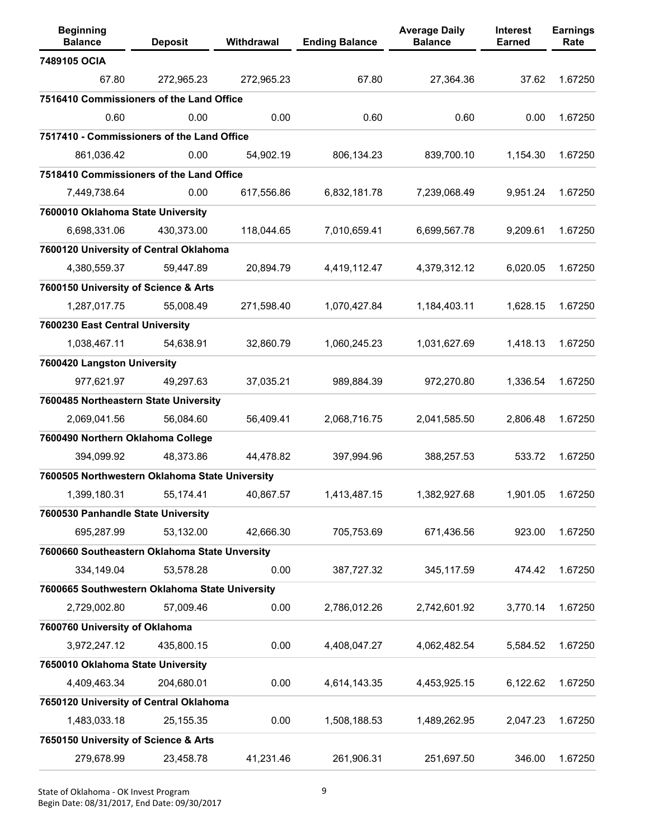| <b>Beginning</b><br><b>Balance</b>             | <b>Deposit</b> | Withdrawal | <b>Ending Balance</b> | <b>Average Daily</b><br><b>Balance</b> | Interest<br><b>Earned</b> | <b>Earnings</b><br>Rate |
|------------------------------------------------|----------------|------------|-----------------------|----------------------------------------|---------------------------|-------------------------|
| 7489105 OCIA                                   |                |            |                       |                                        |                           |                         |
| 67.80                                          | 272,965.23     | 272,965.23 | 67.80                 | 27,364.36                              | 37.62                     | 1.67250                 |
| 7516410 Commissioners of the Land Office       |                |            |                       |                                        |                           |                         |
| 0.60                                           | 0.00           | 0.00       | 0.60                  | 0.60                                   | 0.00                      | 1.67250                 |
| 7517410 - Commissioners of the Land Office     |                |            |                       |                                        |                           |                         |
| 861,036.42                                     | 0.00           | 54,902.19  | 806,134.23            | 839,700.10                             | 1,154.30                  | 1.67250                 |
| 7518410 Commissioners of the Land Office       |                |            |                       |                                        |                           |                         |
| 7,449,738.64                                   | 0.00           | 617,556.86 | 6,832,181.78          | 7,239,068.49                           | 9,951.24                  | 1.67250                 |
| 7600010 Oklahoma State University              |                |            |                       |                                        |                           |                         |
| 6,698,331.06                                   | 430,373.00     | 118,044.65 | 7,010,659.41          | 6,699,567.78                           | 9,209.61                  | 1.67250                 |
| 7600120 University of Central Oklahoma         |                |            |                       |                                        |                           |                         |
| 4,380,559.37                                   | 59,447.89      | 20,894.79  | 4,419,112.47          | 4,379,312.12                           | 6,020.05                  | 1.67250                 |
| 7600150 University of Science & Arts           |                |            |                       |                                        |                           |                         |
| 1,287,017.75                                   | 55,008.49      | 271,598.40 | 1,070,427.84          | 1,184,403.11                           | 1,628.15                  | 1.67250                 |
| 7600230 East Central University                |                |            |                       |                                        |                           |                         |
| 1,038,467.11                                   | 54,638.91      | 32,860.79  | 1,060,245.23          | 1,031,627.69                           | 1,418.13                  | 1.67250                 |
| 7600420 Langston University                    |                |            |                       |                                        |                           |                         |
| 977,621.97                                     | 49,297.63      | 37,035.21  | 989,884.39            | 972,270.80                             | 1,336.54                  | 1.67250                 |
| 7600485 Northeastern State University          |                |            |                       |                                        |                           |                         |
| 2,069,041.56                                   | 56,084.60      | 56,409.41  | 2,068,716.75          | 2,041,585.50                           | 2,806.48                  | 1.67250                 |
| 7600490 Northern Oklahoma College              |                |            |                       |                                        |                           |                         |
| 394,099.92                                     | 48,373.86      | 44,478.82  | 397,994.96            | 388,257.53                             | 533.72                    | 1.67250                 |
| 7600505 Northwestern Oklahoma State University |                |            |                       |                                        |                           |                         |
| 1,399,180.31                                   | 55,174.41      | 40,867.57  | 1,413,487.15          | 1,382,927.68                           | 1,901.05                  | 1.67250                 |
| 7600530 Panhandle State University             |                |            |                       |                                        |                           |                         |
| 695,287.99                                     | 53,132.00      | 42,666.30  | 705,753.69            | 671,436.56                             | 923.00                    | 1.67250                 |
| 7600660 Southeastern Oklahoma State Unversity  |                |            |                       |                                        |                           |                         |
| 334,149.04                                     | 53,578.28      | 0.00       | 387,727.32            | 345,117.59                             | 474.42                    | 1.67250                 |
| 7600665 Southwestern Oklahoma State University |                |            |                       |                                        |                           |                         |
| 2,729,002.80                                   | 57,009.46      | 0.00       | 2,786,012.26          | 2,742,601.92                           | 3,770.14                  | 1.67250                 |
| 7600760 University of Oklahoma                 |                |            |                       |                                        |                           |                         |
| 3,972,247.12                                   | 435,800.15     | 0.00       | 4,408,047.27          | 4,062,482.54                           | 5,584.52                  | 1.67250                 |
| 7650010 Oklahoma State University              |                |            |                       |                                        |                           |                         |
| 4,409,463.34                                   | 204,680.01     | 0.00       | 4,614,143.35          | 4,453,925.15                           | 6,122.62                  | 1.67250                 |
| 7650120 University of Central Oklahoma         |                |            |                       |                                        |                           |                         |
| 1,483,033.18                                   | 25,155.35      | 0.00       | 1,508,188.53          | 1,489,262.95                           | 2,047.23                  | 1.67250                 |
| 7650150 University of Science & Arts           |                |            |                       |                                        |                           |                         |
| 279,678.99                                     | 23,458.78      | 41,231.46  | 261,906.31            | 251,697.50                             | 346.00                    | 1.67250                 |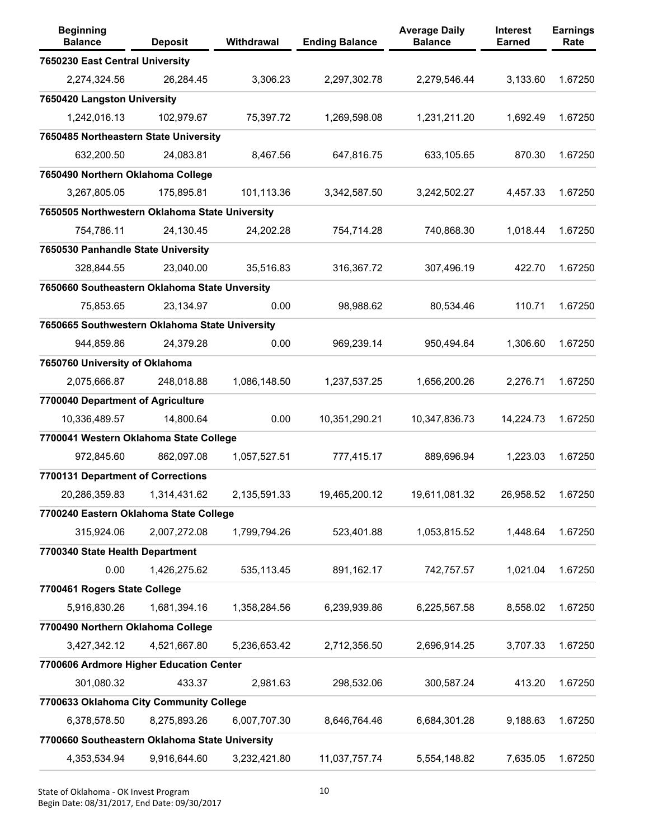| <b>Beginning</b><br><b>Balance</b>             | <b>Deposit</b> | Withdrawal   | <b>Ending Balance</b> | <b>Average Daily</b><br><b>Balance</b> | <b>Interest</b><br><b>Earned</b> | <b>Earnings</b><br>Rate |
|------------------------------------------------|----------------|--------------|-----------------------|----------------------------------------|----------------------------------|-------------------------|
| 7650230 East Central University                |                |              |                       |                                        |                                  |                         |
| 2,274,324.56                                   | 26,284.45      | 3,306.23     | 2,297,302.78          | 2,279,546.44                           | 3,133.60                         | 1.67250                 |
| 7650420 Langston University                    |                |              |                       |                                        |                                  |                         |
| 1,242,016.13                                   | 102,979.67     | 75,397.72    | 1,269,598.08          | 1,231,211.20                           | 1,692.49                         | 1.67250                 |
| 7650485 Northeastern State University          |                |              |                       |                                        |                                  |                         |
| 632,200.50                                     | 24,083.81      | 8,467.56     | 647,816.75            | 633,105.65                             | 870.30                           | 1.67250                 |
| 7650490 Northern Oklahoma College              |                |              |                       |                                        |                                  |                         |
| 3,267,805.05                                   | 175,895.81     | 101,113.36   | 3,342,587.50          | 3,242,502.27                           | 4,457.33                         | 1.67250                 |
| 7650505 Northwestern Oklahoma State University |                |              |                       |                                        |                                  |                         |
| 754,786.11                                     | 24,130.45      | 24,202.28    | 754,714.28            | 740,868.30                             | 1,018.44                         | 1.67250                 |
| 7650530 Panhandle State University             |                |              |                       |                                        |                                  |                         |
| 328,844.55                                     | 23,040.00      | 35,516.83    | 316,367.72            | 307,496.19                             | 422.70                           | 1.67250                 |
| 7650660 Southeastern Oklahoma State Unversity  |                |              |                       |                                        |                                  |                         |
| 75,853.65                                      | 23,134.97      | 0.00         | 98,988.62             | 80,534.46                              | 110.71                           | 1.67250                 |
| 7650665 Southwestern Oklahoma State University |                |              |                       |                                        |                                  |                         |
| 944,859.86                                     | 24,379.28      | 0.00         | 969,239.14            | 950,494.64                             | 1,306.60                         | 1.67250                 |
| 7650760 University of Oklahoma                 |                |              |                       |                                        |                                  |                         |
| 2,075,666.87                                   | 248,018.88     | 1,086,148.50 | 1,237,537.25          | 1,656,200.26                           | 2,276.71                         | 1.67250                 |
| 7700040 Department of Agriculture              |                |              |                       |                                        |                                  |                         |
| 10,336,489.57                                  | 14,800.64      | 0.00         | 10,351,290.21         | 10,347,836.73                          | 14,224.73                        | 1.67250                 |
| 7700041 Western Oklahoma State College         |                |              |                       |                                        |                                  |                         |
| 972,845.60                                     | 862,097.08     | 1,057,527.51 | 777,415.17            | 889,696.94                             | 1,223.03                         | 1.67250                 |
| 7700131 Department of Corrections              |                |              |                       |                                        |                                  |                         |
| 20,286,359.83                                  | 1,314,431.62   | 2,135,591.33 | 19,465,200.12         | 19,611,081.32                          | 26,958.52                        | 1.67250                 |
| 7700240 Eastern Oklahoma State College         |                |              |                       |                                        |                                  |                         |
| 315,924.06                                     | 2,007,272.08   | 1,799,794.26 | 523,401.88            | 1,053,815.52                           | 1,448.64                         | 1.67250                 |
| 7700340 State Health Department                |                |              |                       |                                        |                                  |                         |
| 0.00                                           | 1,426,275.62   | 535,113.45   | 891,162.17            | 742,757.57                             | 1,021.04                         | 1.67250                 |
| 7700461 Rogers State College                   |                |              |                       |                                        |                                  |                         |
| 5,916,830.26                                   | 1,681,394.16   | 1,358,284.56 | 6,239,939.86          | 6,225,567.58                           | 8,558.02                         | 1.67250                 |
| 7700490 Northern Oklahoma College              |                |              |                       |                                        |                                  |                         |
| 3,427,342.12                                   | 4,521,667.80   | 5,236,653.42 | 2,712,356.50          | 2,696,914.25                           | 3,707.33                         | 1.67250                 |
| 7700606 Ardmore Higher Education Center        |                |              |                       |                                        |                                  |                         |
| 301,080.32                                     | 433.37         | 2,981.63     | 298,532.06            | 300,587.24                             | 413.20                           | 1.67250                 |
| 7700633 Oklahoma City Community College        |                |              |                       |                                        |                                  |                         |
| 6,378,578.50                                   | 8,275,893.26   | 6,007,707.30 | 8,646,764.46          | 6,684,301.28                           | 9,188.63                         | 1.67250                 |
| 7700660 Southeastern Oklahoma State University |                |              |                       |                                        |                                  |                         |
| 4,353,534.94                                   | 9,916,644.60   | 3,232,421.80 | 11,037,757.74         | 5,554,148.82                           | 7,635.05                         | 1.67250                 |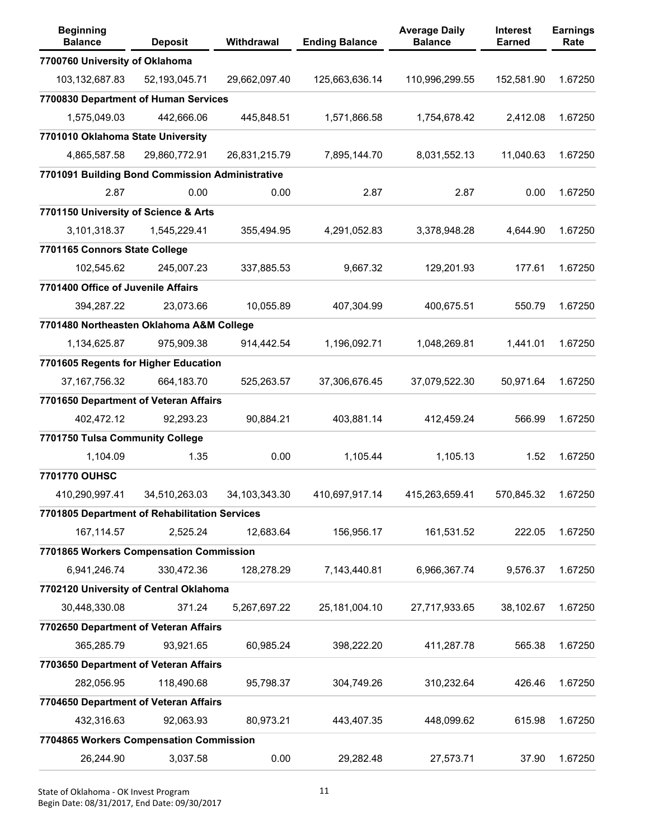| <b>Beginning</b><br><b>Balance</b>              | <b>Deposit</b>   | <b>Withdrawal</b> | <b>Ending Balance</b> | <b>Average Daily</b><br><b>Balance</b> | <b>Interest</b><br><b>Earned</b> | <b>Earnings</b><br>Rate |
|-------------------------------------------------|------------------|-------------------|-----------------------|----------------------------------------|----------------------------------|-------------------------|
| 7700760 University of Oklahoma                  |                  |                   |                       |                                        |                                  |                         |
| 103,132,687.83                                  | 52, 193, 045. 71 | 29,662,097.40     | 125,663,636.14        | 110,996,299.55                         | 152,581.90                       | 1.67250                 |
| 7700830 Department of Human Services            |                  |                   |                       |                                        |                                  |                         |
| 1,575,049.03                                    | 442,666.06       | 445,848.51        | 1,571,866.58          | 1,754,678.42                           | 2,412.08                         | 1.67250                 |
| 7701010 Oklahoma State University               |                  |                   |                       |                                        |                                  |                         |
| 4,865,587.58                                    | 29,860,772.91    | 26,831,215.79     | 7,895,144.70          | 8,031,552.13                           | 11,040.63                        | 1.67250                 |
| 7701091 Building Bond Commission Administrative |                  |                   |                       |                                        |                                  |                         |
| 2.87                                            | 0.00             | 0.00              | 2.87                  | 2.87                                   | 0.00                             | 1.67250                 |
| 7701150 University of Science & Arts            |                  |                   |                       |                                        |                                  |                         |
| 3,101,318.37                                    | 1,545,229.41     | 355,494.95        | 4,291,052.83          | 3,378,948.28                           | 4,644.90                         | 1.67250                 |
| 7701165 Connors State College                   |                  |                   |                       |                                        |                                  |                         |
| 102,545.62                                      | 245,007.23       | 337,885.53        | 9,667.32              | 129,201.93                             | 177.61                           | 1.67250                 |
| 7701400 Office of Juvenile Affairs              |                  |                   |                       |                                        |                                  |                         |
| 394,287.22                                      | 23,073.66        | 10,055.89         | 407,304.99            | 400,675.51                             | 550.79                           | 1.67250                 |
| 7701480 Northeasten Oklahoma A&M College        |                  |                   |                       |                                        |                                  |                         |
| 1,134,625.87                                    | 975,909.38       | 914,442.54        | 1,196,092.71          | 1,048,269.81                           | 1,441.01                         | 1.67250                 |
| 7701605 Regents for Higher Education            |                  |                   |                       |                                        |                                  |                         |
| 37, 167, 756. 32                                | 664,183.70       | 525,263.57        | 37,306,676.45         | 37,079,522.30                          | 50,971.64                        | 1.67250                 |
| 7701650 Department of Veteran Affairs           |                  |                   |                       |                                        |                                  |                         |
| 402,472.12                                      | 92,293.23        | 90,884.21         | 403,881.14            | 412,459.24                             | 566.99                           | 1.67250                 |
| 7701750 Tulsa Community College                 |                  |                   |                       |                                        |                                  |                         |
| 1,104.09                                        | 1.35             | 0.00              | 1,105.44              | 1,105.13                               | 1.52                             | 1.67250                 |
| 7701770 OUHSC                                   |                  |                   |                       |                                        |                                  |                         |
| 410,290,997.41                                  | 34,510,263.03    | 34,103,343.30     | 410,697,917.14        | 415,263,659.41                         | 570,845.32                       | 1.67250                 |
| 7701805 Department of Rehabilitation Services   |                  |                   |                       |                                        |                                  |                         |
| 167,114.57                                      | 2,525.24         | 12,683.64         | 156,956.17            | 161,531.52                             | 222.05                           | 1.67250                 |
| 7701865 Workers Compensation Commission         |                  |                   |                       |                                        |                                  |                         |
| 6,941,246.74                                    | 330,472.36       | 128,278.29        | 7,143,440.81          | 6,966,367.74                           | 9,576.37                         | 1.67250                 |
| 7702120 University of Central Oklahoma          |                  |                   |                       |                                        |                                  |                         |
| 30,448,330.08                                   | 371.24           | 5,267,697.22      | 25,181,004.10         | 27,717,933.65                          | 38,102.67                        | 1.67250                 |
| 7702650 Department of Veteran Affairs           |                  |                   |                       |                                        |                                  |                         |
| 365,285.79                                      | 93,921.65        | 60,985.24         | 398,222.20            | 411,287.78                             | 565.38                           | 1.67250                 |
| 7703650 Department of Veteran Affairs           |                  |                   |                       |                                        |                                  |                         |
| 282,056.95                                      | 118,490.68       | 95,798.37         | 304,749.26            | 310,232.64                             | 426.46                           | 1.67250                 |
| 7704650 Department of Veteran Affairs           |                  |                   |                       |                                        |                                  |                         |
| 432,316.63                                      | 92,063.93        | 80,973.21         | 443,407.35            | 448,099.62                             | 615.98                           | 1.67250                 |
| 7704865 Workers Compensation Commission         |                  |                   |                       |                                        |                                  |                         |
| 26,244.90                                       | 3,037.58         | 0.00              | 29,282.48             | 27,573.71                              | 37.90                            | 1.67250                 |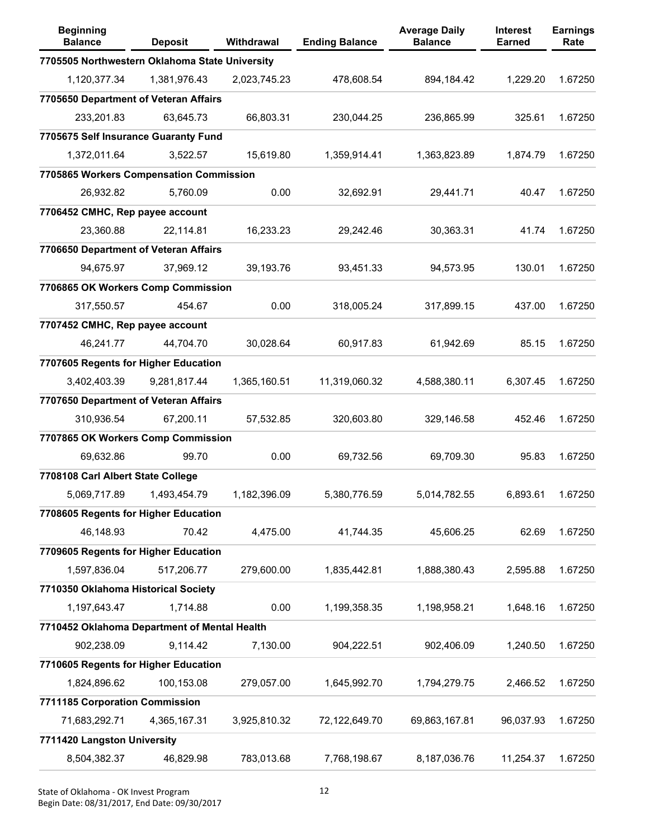| <b>Beginning</b><br><b>Balance</b>             | <b>Deposit</b> | Withdrawal   | <b>Ending Balance</b> | <b>Average Daily</b><br><b>Balance</b> | <b>Interest</b><br><b>Earned</b> | <b>Earnings</b><br>Rate |
|------------------------------------------------|----------------|--------------|-----------------------|----------------------------------------|----------------------------------|-------------------------|
| 7705505 Northwestern Oklahoma State University |                |              |                       |                                        |                                  |                         |
| 1,120,377.34                                   | 1,381,976.43   | 2,023,745.23 | 478,608.54            | 894,184.42                             | 1,229.20                         | 1.67250                 |
| 7705650 Department of Veteran Affairs          |                |              |                       |                                        |                                  |                         |
| 233,201.83                                     | 63,645.73      | 66,803.31    | 230,044.25            | 236,865.99                             | 325.61                           | 1.67250                 |
| 7705675 Self Insurance Guaranty Fund           |                |              |                       |                                        |                                  |                         |
| 1,372,011.64                                   | 3,522.57       | 15,619.80    | 1,359,914.41          | 1,363,823.89                           | 1,874.79                         | 1.67250                 |
| 7705865 Workers Compensation Commission        |                |              |                       |                                        |                                  |                         |
| 26,932.82                                      | 5,760.09       | 0.00         | 32,692.91             | 29,441.71                              | 40.47                            | 1.67250                 |
| 7706452 CMHC, Rep payee account                |                |              |                       |                                        |                                  |                         |
| 23,360.88                                      | 22,114.81      | 16,233.23    | 29,242.46             | 30,363.31                              | 41.74                            | 1.67250                 |
| 7706650 Department of Veteran Affairs          |                |              |                       |                                        |                                  |                         |
| 94,675.97                                      | 37,969.12      | 39,193.76    | 93,451.33             | 94,573.95                              | 130.01                           | 1.67250                 |
| 7706865 OK Workers Comp Commission             |                |              |                       |                                        |                                  |                         |
| 317,550.57                                     | 454.67         | 0.00         | 318,005.24            | 317,899.15                             | 437.00                           | 1.67250                 |
| 7707452 CMHC, Rep payee account                |                |              |                       |                                        |                                  |                         |
| 46,241.77                                      | 44,704.70      | 30,028.64    | 60,917.83             | 61,942.69                              | 85.15                            | 1.67250                 |
| 7707605 Regents for Higher Education           |                |              |                       |                                        |                                  |                         |
| 3,402,403.39                                   | 9,281,817.44   | 1,365,160.51 | 11,319,060.32         | 4,588,380.11                           | 6,307.45                         | 1.67250                 |
| 7707650 Department of Veteran Affairs          |                |              |                       |                                        |                                  |                         |
| 310,936.54                                     | 67,200.11      | 57,532.85    | 320,603.80            | 329,146.58                             | 452.46                           | 1.67250                 |
| 7707865 OK Workers Comp Commission             |                |              |                       |                                        |                                  |                         |
| 69,632.86                                      | 99.70          | 0.00         | 69,732.56             | 69,709.30                              | 95.83                            | 1.67250                 |
| 7708108 Carl Albert State College              |                |              |                       |                                        |                                  |                         |
| 5,069,717.89                                   | 1,493,454.79   | 1,182,396.09 | 5,380,776.59          | 5,014,782.55                           | 6,893.61                         | 1.67250                 |
| 7708605 Regents for Higher Education           |                |              |                       |                                        |                                  |                         |
| 46,148.93                                      | 70.42          | 4,475.00     | 41,744.35             | 45,606.25                              | 62.69                            | 1.67250                 |
| 7709605 Regents for Higher Education           |                |              |                       |                                        |                                  |                         |
| 1,597,836.04                                   | 517,206.77     | 279,600.00   | 1,835,442.81          | 1,888,380.43                           | 2,595.88                         | 1.67250                 |
| 7710350 Oklahoma Historical Society            |                |              |                       |                                        |                                  |                         |
| 1,197,643.47                                   | 1,714.88       | 0.00         | 1,199,358.35          | 1,198,958.21                           | 1,648.16                         | 1.67250                 |
| 7710452 Oklahoma Department of Mental Health   |                |              |                       |                                        |                                  |                         |
| 902,238.09                                     | 9,114.42       | 7,130.00     | 904,222.51            | 902,406.09                             | 1,240.50                         | 1.67250                 |
| 7710605 Regents for Higher Education           |                |              |                       |                                        |                                  |                         |
| 1,824,896.62                                   | 100,153.08     | 279,057.00   | 1,645,992.70          | 1,794,279.75                           | 2,466.52                         | 1.67250                 |
| 7711185 Corporation Commission                 |                |              |                       |                                        |                                  |                         |
| 71,683,292.71                                  | 4,365,167.31   | 3,925,810.32 | 72,122,649.70         | 69,863,167.81                          | 96,037.93                        | 1.67250                 |
| 7711420 Langston University                    |                |              |                       |                                        |                                  |                         |
| 8,504,382.37                                   | 46,829.98      | 783,013.68   | 7,768,198.67          | 8,187,036.76                           | 11,254.37                        | 1.67250                 |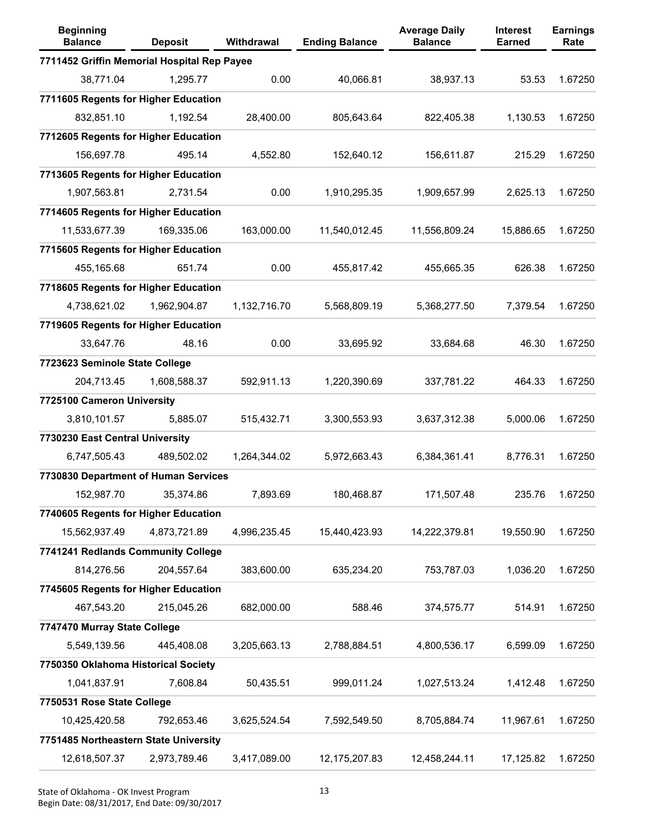| <b>Beginning</b><br><b>Balance</b>          | <b>Deposit</b> | Withdrawal   | <b>Ending Balance</b> | <b>Average Daily</b><br><b>Balance</b> | <b>Interest</b><br><b>Earned</b> | <b>Earnings</b><br>Rate |
|---------------------------------------------|----------------|--------------|-----------------------|----------------------------------------|----------------------------------|-------------------------|
| 7711452 Griffin Memorial Hospital Rep Payee |                |              |                       |                                        |                                  |                         |
| 38,771.04                                   | 1,295.77       | 0.00         | 40,066.81             | 38,937.13                              | 53.53                            | 1.67250                 |
| 7711605 Regents for Higher Education        |                |              |                       |                                        |                                  |                         |
| 832,851.10                                  | 1,192.54       | 28,400.00    | 805,643.64            | 822,405.38                             | 1,130.53                         | 1.67250                 |
| 7712605 Regents for Higher Education        |                |              |                       |                                        |                                  |                         |
| 156,697.78                                  | 495.14         | 4,552.80     | 152,640.12            | 156,611.87                             | 215.29                           | 1.67250                 |
| 7713605 Regents for Higher Education        |                |              |                       |                                        |                                  |                         |
| 1,907,563.81                                | 2,731.54       | 0.00         | 1,910,295.35          | 1,909,657.99                           | 2,625.13                         | 1.67250                 |
| 7714605 Regents for Higher Education        |                |              |                       |                                        |                                  |                         |
| 11,533,677.39                               | 169,335.06     | 163,000.00   | 11,540,012.45         | 11,556,809.24                          | 15,886.65                        | 1.67250                 |
| 7715605 Regents for Higher Education        |                |              |                       |                                        |                                  |                         |
| 455,165.68                                  | 651.74         | 0.00         | 455,817.42            | 455,665.35                             | 626.38                           | 1.67250                 |
| 7718605 Regents for Higher Education        |                |              |                       |                                        |                                  |                         |
| 4,738,621.02                                | 1,962,904.87   | 1,132,716.70 | 5,568,809.19          | 5,368,277.50                           | 7,379.54                         | 1.67250                 |
| 7719605 Regents for Higher Education        |                |              |                       |                                        |                                  |                         |
| 33,647.76                                   | 48.16          | 0.00         | 33,695.92             | 33,684.68                              | 46.30                            | 1.67250                 |
| 7723623 Seminole State College              |                |              |                       |                                        |                                  |                         |
| 204,713.45                                  | 1,608,588.37   | 592,911.13   | 1,220,390.69          | 337,781.22                             | 464.33                           | 1.67250                 |
| 7725100 Cameron University                  |                |              |                       |                                        |                                  |                         |
| 3,810,101.57                                | 5,885.07       | 515,432.71   | 3,300,553.93          | 3,637,312.38                           | 5,000.06                         | 1.67250                 |
| 7730230 East Central University             |                |              |                       |                                        |                                  |                         |
| 6,747,505.43                                | 489,502.02     | 1,264,344.02 | 5,972,663.43          | 6,384,361.41                           | 8,776.31                         | 1.67250                 |
| 7730830 Department of Human Services        |                |              |                       |                                        |                                  |                         |
| 152,987.70                                  | 35,374.86      | 7,893.69     | 180,468.87            | 171,507.48                             | 235.76                           | 1.67250                 |
| 7740605 Regents for Higher Education        |                |              |                       |                                        |                                  |                         |
| 15,562,937.49                               | 4,873,721.89   | 4,996,235.45 | 15,440,423.93         | 14,222,379.81                          | 19,550.90                        | 1.67250                 |
| 7741241 Redlands Community College          |                |              |                       |                                        |                                  |                         |
| 814,276.56                                  | 204,557.64     | 383,600.00   | 635,234.20            | 753,787.03                             | 1,036.20                         | 1.67250                 |
| 7745605 Regents for Higher Education        |                |              |                       |                                        |                                  |                         |
| 467,543.20                                  | 215,045.26     | 682,000.00   | 588.46                | 374,575.77                             | 514.91                           | 1.67250                 |
| 7747470 Murray State College                |                |              |                       |                                        |                                  |                         |
| 5,549,139.56                                | 445,408.08     | 3,205,663.13 | 2,788,884.51          | 4,800,536.17                           | 6,599.09                         | 1.67250                 |
| 7750350 Oklahoma Historical Society         |                |              |                       |                                        |                                  |                         |
| 1,041,837.91                                | 7,608.84       | 50,435.51    | 999,011.24            | 1,027,513.24                           | 1,412.48                         | 1.67250                 |
| 7750531 Rose State College                  |                |              |                       |                                        |                                  |                         |
| 10,425,420.58                               | 792,653.46     | 3,625,524.54 | 7,592,549.50          | 8,705,884.74                           | 11,967.61                        | 1.67250                 |
| 7751485 Northeastern State University       |                |              |                       |                                        |                                  |                         |
| 12,618,507.37                               | 2,973,789.46   | 3,417,089.00 | 12, 175, 207.83       | 12,458,244.11                          | 17,125.82                        | 1.67250                 |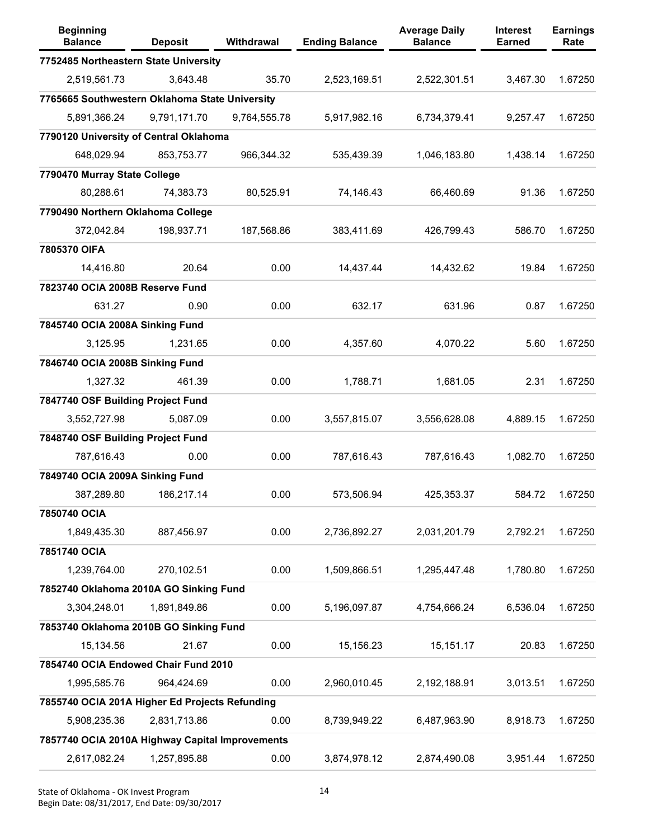| <b>Beginning</b><br><b>Balance</b>              | <b>Deposit</b> | Withdrawal   | <b>Ending Balance</b> | <b>Average Daily</b><br><b>Balance</b> | <b>Interest</b><br><b>Earned</b> | <b>Earnings</b><br>Rate |
|-------------------------------------------------|----------------|--------------|-----------------------|----------------------------------------|----------------------------------|-------------------------|
| 7752485 Northeastern State University           |                |              |                       |                                        |                                  |                         |
| 2,519,561.73                                    | 3,643.48       | 35.70        | 2,523,169.51          | 2,522,301.51                           | 3,467.30                         | 1.67250                 |
| 7765665 Southwestern Oklahoma State University  |                |              |                       |                                        |                                  |                         |
| 5,891,366.24                                    | 9,791,171.70   | 9,764,555.78 | 5,917,982.16          | 6,734,379.41                           | 9,257.47                         | 1.67250                 |
| 7790120 University of Central Oklahoma          |                |              |                       |                                        |                                  |                         |
| 648,029.94                                      | 853,753.77     | 966,344.32   | 535,439.39            | 1,046,183.80                           | 1,438.14                         | 1.67250                 |
| 7790470 Murray State College                    |                |              |                       |                                        |                                  |                         |
| 80,288.61                                       | 74,383.73      | 80,525.91    | 74,146.43             | 66,460.69                              | 91.36                            | 1.67250                 |
| 7790490 Northern Oklahoma College               |                |              |                       |                                        |                                  |                         |
| 372,042.84                                      | 198,937.71     | 187,568.86   | 383,411.69            | 426,799.43                             | 586.70                           | 1.67250                 |
| 7805370 OIFA                                    |                |              |                       |                                        |                                  |                         |
| 14,416.80                                       | 20.64          | 0.00         | 14,437.44             | 14,432.62                              | 19.84                            | 1.67250                 |
| 7823740 OCIA 2008B Reserve Fund                 |                |              |                       |                                        |                                  |                         |
| 631.27                                          | 0.90           | 0.00         | 632.17                | 631.96                                 | 0.87                             | 1.67250                 |
| 7845740 OCIA 2008A Sinking Fund                 |                |              |                       |                                        |                                  |                         |
| 3,125.95                                        | 1,231.65       | 0.00         | 4,357.60              | 4,070.22                               | 5.60                             | 1.67250                 |
| 7846740 OCIA 2008B Sinking Fund                 |                |              |                       |                                        |                                  |                         |
| 1,327.32                                        | 461.39         | 0.00         | 1,788.71              | 1,681.05                               | 2.31                             | 1.67250                 |
| 7847740 OSF Building Project Fund               |                |              |                       |                                        |                                  |                         |
| 3,552,727.98                                    | 5,087.09       | 0.00         | 3,557,815.07          | 3,556,628.08                           | 4,889.15                         | 1.67250                 |
| 7848740 OSF Building Project Fund               |                |              |                       |                                        |                                  |                         |
| 787,616.43                                      | 0.00           | 0.00         | 787,616.43            | 787,616.43                             | 1,082.70                         | 1.67250                 |
| 7849740 OCIA 2009A Sinking Fund                 |                |              |                       |                                        |                                  |                         |
| 387,289.80                                      | 186,217.14     | 0.00         | 573,506.94            | 425,353.37                             | 584.72                           | 1.67250                 |
| 7850740 OCIA                                    |                |              |                       |                                        |                                  |                         |
| 1,849,435.30                                    | 887,456.97     | 0.00         | 2,736,892.27          | 2,031,201.79                           | 2,792.21                         | 1.67250                 |
| 7851740 OCIA                                    |                |              |                       |                                        |                                  |                         |
| 1,239,764.00                                    | 270,102.51     | 0.00         | 1,509,866.51          | 1,295,447.48                           | 1,780.80                         | 1.67250                 |
| 7852740 Oklahoma 2010A GO Sinking Fund          |                |              |                       |                                        |                                  |                         |
| 3,304,248.01                                    | 1,891,849.86   | 0.00         | 5,196,097.87          | 4,754,666.24                           | 6,536.04                         | 1.67250                 |
| 7853740 Oklahoma 2010B GO Sinking Fund          |                |              |                       |                                        |                                  |                         |
| 15,134.56                                       | 21.67          | 0.00         | 15,156.23             | 15,151.17                              | 20.83                            | 1.67250                 |
| 7854740 OCIA Endowed Chair Fund 2010            |                |              |                       |                                        |                                  |                         |
| 1,995,585.76                                    | 964,424.69     | 0.00         | 2,960,010.45          | 2,192,188.91                           | 3,013.51                         | 1.67250                 |
| 7855740 OCIA 201A Higher Ed Projects Refunding  |                |              |                       |                                        |                                  |                         |
| 5,908,235.36                                    | 2,831,713.86   | 0.00         | 8,739,949.22          | 6,487,963.90                           | 8,918.73                         | 1.67250                 |
| 7857740 OCIA 2010A Highway Capital Improvements |                |              |                       |                                        |                                  |                         |
| 2,617,082.24                                    | 1,257,895.88   | 0.00         | 3,874,978.12          | 2,874,490.08                           | 3,951.44                         | 1.67250                 |